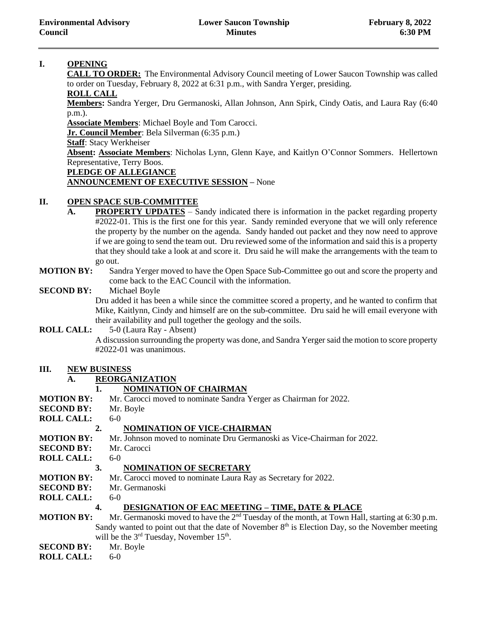# **I. OPENING**

**CALL TO ORDER:** The Environmental Advisory Council meeting of Lower Saucon Township was called to order on Tuesday, February 8, 2022 at 6:31 p.m., with Sandra Yerger, presiding.

# **ROLL CALL**

**Members:** Sandra Yerger, Dru Germanoski, Allan Johnson, Ann Spirk, Cindy Oatis, and Laura Ray (6:40 p.m.).

**Associate Members**: Michael Boyle and Tom Carocci.

**Jr. Council Member**: Bela Silverman (6:35 p.m.)

**Staff**: Stacy Werkheiser

**Absent: Associate Members**: Nicholas Lynn, Glenn Kaye, and Kaitlyn O'Connor Sommers. Hellertown Representative, Terry Boos.

#### **PLEDGE OF ALLEGIANCE**

# **ANNOUNCEMENT OF EXECUTIVE SESSION –** None

# **II. OPEN SPACE SUB-COMMITTEE**

- **A. PROPERTY UPDATES** Sandy indicated there is information in the packet regarding property #2022-01. This is the first one for this year. Sandy reminded everyone that we will only reference the property by the number on the agenda. Sandy handed out packet and they now need to approve if we are going to send the team out. Dru reviewed some of the information and said this is a property that they should take a look at and score it. Dru said he will make the arrangements with the team to go out.
- **MOTION BY:** Sandra Yerger moved to have the Open Space Sub-Committee go out and score the property and come back to the EAC Council with the information.

#### **SECOND BY:** Michael Boyle

Dru added it has been a while since the committee scored a property, and he wanted to confirm that Mike, Kaitlynn, Cindy and himself are on the sub-committee. Dru said he will email everyone with their availability and pull together the geology and the soils.

# **ROLL CALL:** 5-0 (Laura Ray - Absent)

A discussion surrounding the property was done, and Sandra Yerger said the motion to score property #2022-01 was unanimous.

#### **III. NEW BUSINESS**

# **A. REORGANIZATION**

# **1. NOMINATION OF CHAIRMAN**

**MOTION BY:** Mr. Carocci moved to nominate Sandra Yerger as Chairman for 2022. **SECOND BY:** Mr. Boyle **ROLL CALL:** 6-0 **2. NOMINATION OF VICE-CHAIRMAN MOTION BY:** Mr. Johnson moved to nominate Dru Germanoski as Vice-Chairman for 2022. **SECOND BY:** Mr. Carocci **ROLL CALL:** 6-0 **3. NOMINATION OF SECRETARY MOTION BY:** Mr. Carocci moved to nominate Laura Ray as Secretary for 2022. **SECOND BY:** Mr. Germanoski **ROLL CALL:** 6-0 **4. DESIGNATION OF EAC MEETING – TIME, DATE & PLACE MOTION BY:** Mr. Germanoski moved to have the 2<sup>nd</sup> Tuesday of the month, at Town Hall, starting at 6:30 p.m. Sandy wanted to point out that the date of November  $8<sup>th</sup>$  is Election Day, so the November meeting will be the  $3<sup>rd</sup>$  Tuesday, November 15<sup>th</sup>. **SECOND BY:** Mr. Boyle **ROLL CALL:** 6-0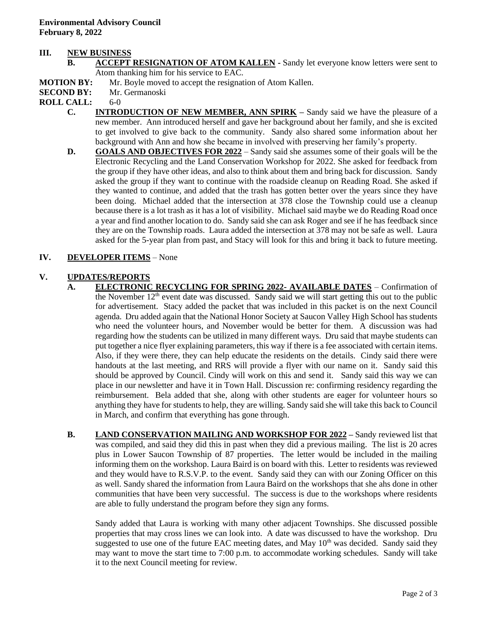#### **III. NEW BUSINESS**

- **B. ACCEPT RESIGNATION OF ATOM KALLEN -** Sandy let everyone know letters were sent to Atom thanking him for his service to EAC.
- **MOTION BY:** Mr. Boyle moved to accept the resignation of Atom Kallen.
- **SECOND BY:** Mr. Germanoski

#### **ROLL CALL:** 6-0

- **C. INTRODUCTION OF NEW MEMBER, ANN SPIRK –** Sandy said we have the pleasure of a new member. Ann introduced herself and gave her background about her family, and she is excited to get involved to give back to the community. Sandy also shared some information about her background with Ann and how she became in involved with preserving her family's property.
- **D. GOALS AND OBJECTIVES FOR 2022** Sandy said she assumes some of their goals will be the Electronic Recycling and the Land Conservation Workshop for 2022. She asked for feedback from the group if they have other ideas, and also to think about them and bring back for discussion. Sandy asked the group if they want to continue with the roadside cleanup on Reading Road. She asked if they wanted to continue, and added that the trash has gotten better over the years since they have been doing. Michael added that the intersection at 378 close the Township could use a cleanup because there is a lot trash as it has a lot of visibility. Michael said maybe we do Reading Road once a year and find another location to do. Sandy said she can ask Roger and see if he has feedback since they are on the Township roads. Laura added the intersection at 378 may not be safe as well. Laura asked for the 5-year plan from past, and Stacy will look for this and bring it back to future meeting.

#### **IV. DEVELOPER ITEMS** – None

#### **V. UPDATES/REPORTS**

- **A. ELECTRONIC RECYCLING FOR SPRING 2022- AVAILABLE DATES** Confirmation of the November  $12<sup>th</sup>$  event date was discussed. Sandy said we will start getting this out to the public for advertisement. Stacy added the packet that was included in this packet is on the next Council agenda. Dru added again that the National Honor Society at Saucon Valley High School has students who need the volunteer hours, and November would be better for them. A discussion was had regarding how the students can be utilized in many different ways. Dru said that maybe students can put together a nice flyer explaining parameters, this way if there is a fee associated with certain items. Also, if they were there, they can help educate the residents on the details. Cindy said there were handouts at the last meeting, and RRS will provide a flyer with our name on it. Sandy said this should be approved by Council. Cindy will work on this and send it. Sandy said this way we can place in our newsletter and have it in Town Hall. Discussion re: confirming residency regarding the reimbursement. Bela added that she, along with other students are eager for volunteer hours so anything they have for students to help, they are willing. Sandy said she will take this back to Council in March, and confirm that everything has gone through.
- **B. LAND CONSERVATION MAILING AND WORKSHOP FOR 2022 –** Sandy reviewed list that was compiled, and said they did this in past when they did a previous mailing. The list is 20 acres plus in Lower Saucon Township of 87 properties. The letter would be included in the mailing informing them on the workshop. Laura Baird is on board with this. Letter to residents was reviewed and they would have to R.S.V.P. to the event. Sandy said they can with our Zoning Officer on this as well. Sandy shared the information from Laura Baird on the workshops that she ahs done in other communities that have been very successful. The success is due to the workshops where residents are able to fully understand the program before they sign any forms.

Sandy added that Laura is working with many other adjacent Townships. She discussed possible properties that may cross lines we can look into. A date was discussed to have the workshop. Dru suggested to use one of the future EAC meeting dates, and May  $10<sup>th</sup>$  was decided. Sandy said they may want to move the start time to 7:00 p.m. to accommodate working schedules. Sandy will take it to the next Council meeting for review.